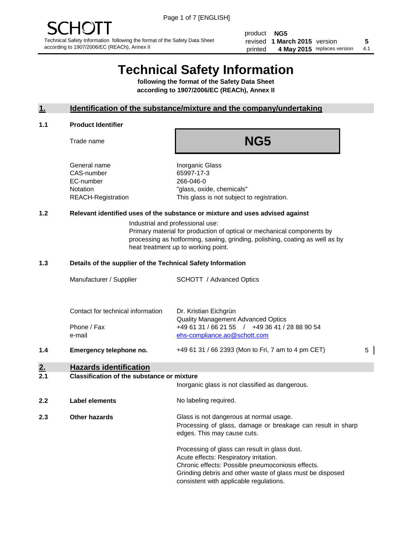product **NG5** revised **5 1 March 2015** version printed 4 May 2015 replaces version 4.1

# **Technical Safety Information**

**following the format of the Safety Data Sheet according to 1907/2006/EC (REACh), Annex II**

#### **1. Identification of the substance/mixture and the company/undertaking**

#### **1.1 Product Identifier**

Trade name

## **NG5**

General name **Inorganic Glass** CAS-number 65997-17-3 EC-number 266-046-0

Notation "glass, oxide, chemicals" REACH-Registration This glass is not subject to registration.

#### **1.2 Relevant identified uses of the substance or mixture and uses advised against**

Industrial and professional use: Primary material for production of optical or mechanical components by processing as hotforming, sawing, grinding, polishing, coating as well as by heat treatment up to working point.

#### **1.3 Details of the supplier of the Technical Safety Information**

|     | Manufacturer / Supplier           | <b>SCHOTT</b> / Advanced Optics                                                             |   |
|-----|-----------------------------------|---------------------------------------------------------------------------------------------|---|
|     |                                   |                                                                                             |   |
|     | Contact for technical information | Dr. Kristian Eichgrün                                                                       |   |
|     | Phone / Fax                       | <b>Quality Management Advanced Optics</b><br>+49 61 31 / 66 21 55 / +49 36 41 / 28 88 90 54 |   |
|     | e-mail                            | ehs-compliance.ao@schott.com                                                                |   |
| 1.4 | Emergency telephone no.           | +49 61 31 / 66 2393 (Mon to Fri, 7 am to 4 pm CET)                                          | 5 |
|     |                                   |                                                                                             |   |

### **2. Hazards identification**

#### **2.1 Classification of the substance or mixture**

|     |                      | Inorganic glass is not classified as dangerous.                                                                                                                                                                                                      |
|-----|----------------------|------------------------------------------------------------------------------------------------------------------------------------------------------------------------------------------------------------------------------------------------------|
| 2.2 | Label elements       | No labeling required.                                                                                                                                                                                                                                |
| 2.3 | <b>Other hazards</b> | Glass is not dangerous at normal usage.<br>Processing of glass, damage or breakage can result in sharp<br>edges. This may cause cuts.                                                                                                                |
|     |                      | Processing of glass can result in glass dust.<br>Acute effects: Respiratory irritation.<br>Chronic effects: Possible pneumoconiosis effects.<br>Grinding debris and other waste of glass must be disposed<br>consistent with applicable regulations. |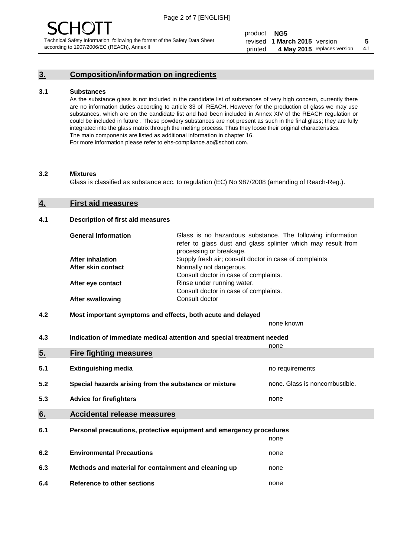#### **3. Composition/information on ingredients**

#### **3.1 Substances**

As the substance glass is not included in the candidate list of substances of very high concern, currently there are no information duties according to article 33 of REACH. However for the production of glass we may use substances, which are on the candidate list and had been included in Annex XIV of the REACH regulation or could be included in future . These powdery substances are not present as such in the final glass; they are fully integrated into the glass matrix through the melting process. Thus they loose their original characteristics. The main components are listed as additional information in chapter 16. For more information please refer to ehs-compliance.ao@schott.com.

#### **3.2 Mixtures**

Glass is classified as substance acc. to regulation (EC) No 987/2008 (amending of Reach-Reg.).

#### **4. First aid measures**

#### **4.1 Description of first aid measures**

| <b>General information</b> | Glass is no hazardous substance. The following information<br>refer to glass dust and glass splinter which may result from<br>processing or breakage. |  |
|----------------------------|-------------------------------------------------------------------------------------------------------------------------------------------------------|--|
| After inhalation           | Supply fresh air; consult doctor in case of complaints                                                                                                |  |
| After skin contact         | Normally not dangerous.                                                                                                                               |  |
|                            | Consult doctor in case of complaints.                                                                                                                 |  |
| After eye contact          | Rinse under running water.                                                                                                                            |  |
|                            | Consult doctor in case of complaints.                                                                                                                 |  |
| <b>After swallowing</b>    | Consult doctor                                                                                                                                        |  |

#### **4.2 Most important symptoms and effects, both acute and delayed**

none known

**4.3 Indication of immediate medical attention and special treatment needed** 

|     |                                                                     | none                           |
|-----|---------------------------------------------------------------------|--------------------------------|
| 5.  | <b>Fire fighting measures</b>                                       |                                |
| 5.1 | <b>Extinguishing media</b>                                          | no requirements                |
| 5.2 | Special hazards arising from the substance or mixture               | none. Glass is noncombustible. |
| 5.3 | <b>Advice for firefighters</b>                                      | none                           |
| 6.  | <b>Accidental release measures</b>                                  |                                |
| 6.1 | Personal precautions, protective equipment and emergency procedures |                                |
|     |                                                                     | none                           |
| 6.2 | <b>Environmental Precautions</b>                                    | none                           |
| 6.3 | Methods and material for containment and cleaning up                | none                           |
| 6.4 | Reference to other sections                                         | none                           |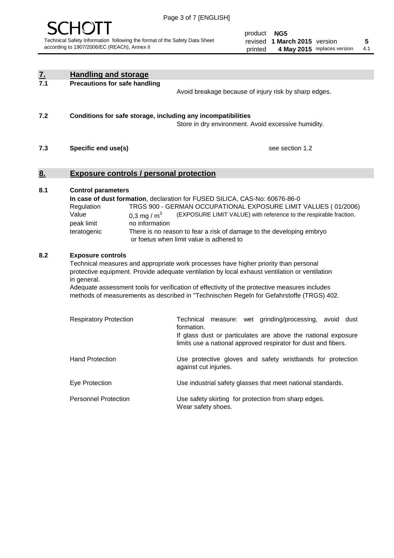

product **NG5** revised **5 1 March 2015** version printed 4 May 2015 replaces version 4.1

| $\underline{7}$ . | <b>Handling and storage</b>                                                                                                                                                                                                                                                                                                                                                                                                    |                                                                                                                                                                                                                                                                                                                                        |
|-------------------|--------------------------------------------------------------------------------------------------------------------------------------------------------------------------------------------------------------------------------------------------------------------------------------------------------------------------------------------------------------------------------------------------------------------------------|----------------------------------------------------------------------------------------------------------------------------------------------------------------------------------------------------------------------------------------------------------------------------------------------------------------------------------------|
| 7.1               | <b>Precautions for safe handling</b>                                                                                                                                                                                                                                                                                                                                                                                           | Avoid breakage because of injury risk by sharp edges.                                                                                                                                                                                                                                                                                  |
| 7.2               | Conditions for safe storage, including any incompatibilities                                                                                                                                                                                                                                                                                                                                                                   | Store in dry environment. Avoid excessive humidity.                                                                                                                                                                                                                                                                                    |
| 7.3               | Specific end use(s)                                                                                                                                                                                                                                                                                                                                                                                                            | see section 1.2                                                                                                                                                                                                                                                                                                                        |
| 8.                | <b>Exposure controls / personal protection</b>                                                                                                                                                                                                                                                                                                                                                                                 |                                                                                                                                                                                                                                                                                                                                        |
| 8.1               | <b>Control parameters</b><br>Regulation<br>Value<br>0.3 mg / $m^3$<br>no information<br>peak limit<br>teratogenic                                                                                                                                                                                                                                                                                                              | In case of dust formation, declaration for FUSED SILICA, CAS-No: 60676-86-0<br>TRGS 900 - GERMAN OCCUPATIONAL EXPOSURE LIMIT VALUES (01/2006)<br>(EXPOSURE LIMIT VALUE) with reference to the respirable fraction.<br>There is no reason to fear a risk of damage to the developing embryo<br>or foetus when limit value is adhered to |
| 8.2               | <b>Exposure controls</b><br>Technical measures and appropriate work processes have higher priority than personal<br>protective equipment. Provide adequate ventilation by local exhaust ventilation or ventilation<br>in general.<br>Adequate assessment tools for verification of effectivity of the protective measures includes<br>methods of measurements as described in "Technischen Regeln for Gefahrstoffe (TRGS) 402. |                                                                                                                                                                                                                                                                                                                                        |
|                   | <b>Respiratory Protection</b>                                                                                                                                                                                                                                                                                                                                                                                                  | Technical<br>measure: wet grinding/processing, avoid dust<br>formation.<br>If glass dust or particulates are above the national exposure<br>limits use a national approved respirator for dust and fibers.                                                                                                                             |
|                   | <b>Hand Protection</b>                                                                                                                                                                                                                                                                                                                                                                                                         | Use protective gloves and safety wristbands for protection<br>against cut injuries.                                                                                                                                                                                                                                                    |
|                   | Eye Protection                                                                                                                                                                                                                                                                                                                                                                                                                 | Use industrial safety glasses that meet national standards.                                                                                                                                                                                                                                                                            |
|                   | <b>Personnel Protection</b>                                                                                                                                                                                                                                                                                                                                                                                                    | Use safety skirting for protection from sharp edges.<br>Wear safety shoes.                                                                                                                                                                                                                                                             |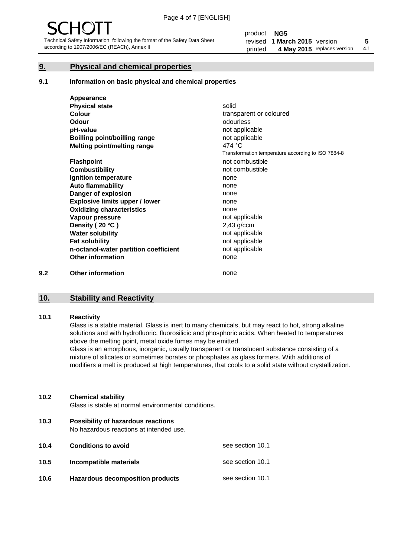#### **9. Physical and chemical properties**

#### **9.1 Information on basic physical and chemical properties**

|     | Appearance                            |                                                    |
|-----|---------------------------------------|----------------------------------------------------|
|     | <b>Physical state</b>                 | solid                                              |
|     | <b>Colour</b>                         | transparent or coloured                            |
|     | <b>Odour</b>                          | odourless                                          |
|     | pH-value                              | not applicable                                     |
|     | <b>Boilling point/boilling range</b>  | not applicable                                     |
|     | Melting point/melting range           | 474 °C                                             |
|     |                                       | Transformation temperature according to ISO 7884-8 |
|     | <b>Flashpoint</b>                     | not combustible                                    |
|     | <b>Combustibility</b>                 | not combustible                                    |
|     | Ignition temperature                  | none                                               |
|     | <b>Auto flammability</b>              | none                                               |
|     | Danger of explosion                   | none                                               |
|     | <b>Explosive limits upper / lower</b> | none                                               |
|     | <b>Oxidizing characteristics</b>      | none                                               |
|     | Vapour pressure                       | not applicable                                     |
|     | Density (20 °C)                       | $2,43$ g/ccm                                       |
|     | <b>Water solubility</b>               | not applicable                                     |
|     | <b>Fat solubility</b>                 | not applicable                                     |
|     | n-octanol-water partition coefficient | not applicable                                     |
|     | <b>Other information</b>              | none                                               |
| 9.2 | <b>Other information</b>              | none                                               |

#### **10. Stability and Reactivity**

#### **10.1 Reactivity**

Glass is a stable material. Glass is inert to many chemicals, but may react to hot, strong alkaline solutions and with hydrofluoric, fluorosilicic and phosphoric acids. When heated to temperatures above the melting point, metal oxide fumes may be emitted.

Glass is an amorphous, inorganic, usually transparent or translucent substance consisting of a mixture of silicates or sometimes borates or phosphates as glass formers. With additions of modifiers a melt is produced at high temperatures, that cools to a solid state without crystallization.

#### **10.2 Chemical stability**

Glass is stable at normal environmental conditions.

**10.3 Possibility of hazardous reactions** 

No hazardous reactions at intended use.

| 10.4 | <b>Conditions to avoid</b>              | see section 10.1 |
|------|-----------------------------------------|------------------|
| 10.5 | Incompatible materials                  | see section 10.1 |
| 10.6 | <b>Hazardous decomposition products</b> | see section 10.1 |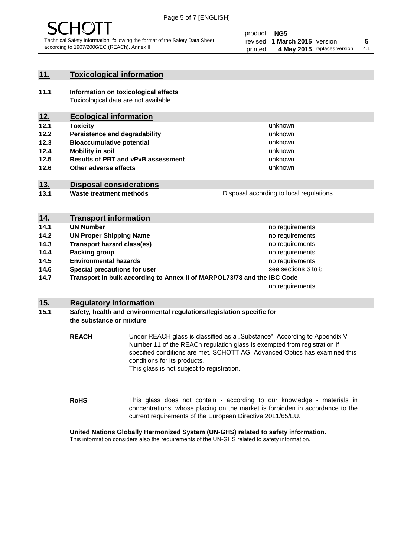

#### **11. Toxicological information**

**11.1 Information on toxicological effects** Toxicological data are not available.

#### **12. Ecological information**

- **12.1 Toxicity**
- **12.2 Persistence and degradability**
- **12.3 Bioaccumulative potential**
- **12.4 Mobility in soil**
- **12.5 Results of PBT and vPvB assessment**
- **12.6 Other adverse effects**

#### **13. Disposal considerations**

**13.1 Waste treatment methods**

Disposal according to local regulations

unknown unknown unknown unknown

unknown unknown

| <u>14.</u> | <b>Transport information</b>                                            |                     |
|------------|-------------------------------------------------------------------------|---------------------|
| 14.1       | <b>UN Number</b>                                                        | no requirements     |
| 14.2       | <b>UN Proper Shipping Name</b>                                          | no requirements     |
| 14.3       | <b>Transport hazard class(es)</b>                                       | no requirements     |
| 14.4       | Packing group                                                           | no requirements     |
| 14.5       | <b>Environmental hazards</b>                                            | no requirements     |
| 14.6       | Special precautions for user                                            | see sections 6 to 8 |
| 14.7       | Transport in bulk according to Annex II of MARPOL73/78 and the IBC Code |                     |
|            |                                                                         | no requirements     |

#### **15. Regulatory information**

#### **15.1 Safety, health and environmental regulations/legislation specific for the substance or mixture**

**REACH** Under REACH glass is classified as a "Substance". According to Appendix V Number 11 of the REACh regulation glass is exempted from registration if specified conditions are met. SCHOTT AG, Advanced Optics has examined this conditions for its products. This glass is not subject to registration.

**RoHS** This glass does not contain - according to our knowledge - materials in concentrations, whose placing on the market is forbidden in accordance to the current requirements of the European Directive 2011/65/EU.

#### **United Nations Globally Harmonized System (UN-GHS) related to safety information.**

This information considers also the requirements of the UN-GHS related to safety information.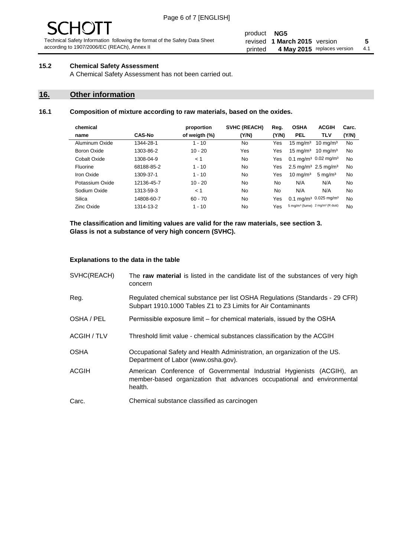# - JF

Technical Safety Information following the format of the Safety Data Sheet according to 1907/2006/EC (REACh), Annex II

#### product **NG5** revised **5 1 March 2015** version printed 4 May 2015 replaces version 4.1

#### **15.2 Chemical Safety Assessment**

A Chemical Safety Assessment has not been carried out.

#### **16. Other information**

#### **16.1 Composition of mixture according to raw materials, based on the oxides.**

| chemical        |               | proportion    | <b>SVHC (REACH)</b> | Reg.  | <b>OSHA</b>                                             | <b>ACGIH</b>        | Carc. |
|-----------------|---------------|---------------|---------------------|-------|---------------------------------------------------------|---------------------|-------|
| name            | <b>CAS-No</b> | of weigth (%) | (Y/N)               | (Y/N) | <b>PEL</b>                                              | <b>TLV</b>          | (Y/N) |
| Aluminum Oxide  | 1344-28-1     | $1 - 10$      | No                  | Yes   | $15 \text{ mg/m}^3$                                     | $10 \text{ mg/m}^3$ | No    |
| Boron Oxide     | 1303-86-2     | $10 - 20$     | Yes                 | Yes   | $15 \text{ mg/m}^3$                                     | $10 \text{ ma/m}^3$ | No    |
| Cobalt Oxide    | 1308-04-9     | < 1           | No.                 | Yes   | 0.1 mg/m <sup>3</sup> 0.02 mg/m <sup>3</sup>            |                     | No    |
| Fluorine        | 68188-85-2    | $1 - 10$      | No                  | Yes   | 2.5 mg/m <sup>3</sup> 2.5 mg/m <sup>3</sup>             |                     | No    |
| Iron Oxide      | 1309-37-1     | $1 - 10$      | No                  | Yes   | $10 \text{ mg/m}^3$                                     | $5 \text{ mg/m}^3$  | No    |
| Potassium Oxide | 12136-45-7    | $10 - 20$     | No                  | No.   | N/A                                                     | N/A                 | No    |
| Sodium Oxide    | 1313-59-3     | < 1           | No                  | No    | N/A                                                     | N/A                 | No    |
| Silica          | 14808-60-7    | $60 - 70$     | No.                 | Yes   | 0.1 mg/m <sup>3</sup> 0.025 mg/m <sup>3</sup>           |                     | No    |
| Zinc Oxide      | 1314-13-2     | $1 - 10$      | No                  | Yes   | 5 mg/m <sup>3</sup> (fume) 2 mg/m <sup>3</sup> (R dust) |                     | No    |

**The classification and limiting values are valid for the raw materials, see section 3. Glass is not a substance of very high concern (SVHC).**

#### **Explanations to the data in the table**

| SVHC(REACH)        | The raw material is listed in the candidate list of the substances of very high<br>concern                                                                 |
|--------------------|------------------------------------------------------------------------------------------------------------------------------------------------------------|
| Reg.               | Regulated chemical substance per list OSHA Regulations (Standards - 29 CFR)<br>Subpart 1910.1000 Tables Z1 to Z3 Limits for Air Contaminants               |
| OSHA / PEL         | Permissible exposure limit – for chemical materials, issued by the OSHA                                                                                    |
| <b>ACGIH / TLV</b> | Threshold limit value - chemical substances classification by the ACGIH                                                                                    |
| <b>OSHA</b>        | Occupational Safety and Health Administration, an organization of the US.<br>Department of Labor (www.osha.gov).                                           |
| ACGIH              | American Conference of Governmental Industrial Hygienists (ACGIH), an<br>member-based organization that advances occupational and environmental<br>health. |
| Carc.              | Chemical substance classified as carcinogen                                                                                                                |